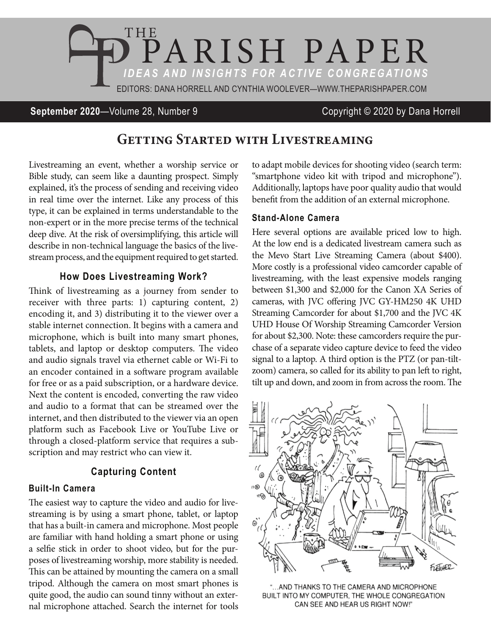

**September 2020**—Volume 28, Number 9 Copyright © 2020 by Dana Horrell

# **Getting Started with Livestreaming**

Livestreaming an event, whether a worship service or Bible study, can seem like a daunting prospect. Simply explained, it's the process of sending and receiving video in real time over the internet. Like any process of this type, it can be explained in terms understandable to the non-expert or in the more precise terms of the technical deep dive. At the risk of oversimplifying, this article will describe in non-technical language the basics of the livestream process, and the equipment required to get started.

### **How Does Livestreaming Work?**

Think of livestreaming as a journey from sender to receiver with three parts: 1) capturing content, 2) encoding it, and 3) distributing it to the viewer over a stable internet connection. It begins with a camera and microphone, which is built into many smart phones, tablets, and laptop or desktop computers. The video and audio signals travel via ethernet cable or Wi-Fi to an encoder contained in a software program available for free or as a paid subscription, or a hardware device. Next the content is encoded, converting the raw video and audio to a format that can be streamed over the internet, and then distributed to the viewer via an open platform such as Facebook Live or YouTube Live or through a closed-platform service that requires a subscription and may restrict who can view it.

### **Capturing Content**

#### **Built-In Camera**

The easiest way to capture the video and audio for livestreaming is by using a smart phone, tablet, or laptop that has a built-in camera and microphone. Most people are familiar with hand holding a smart phone or using a selfie stick in order to shoot video, but for the purposes of livestreaming worship, more stability is needed. This can be attained by mounting the camera on a small tripod. Although the camera on most smart phones is quite good, the audio can sound tinny without an external microphone attached. Search the internet for tools

to adapt mobile devices for shooting video (search term: "smartphone video kit with tripod and microphone"). Additionally, laptops have poor quality audio that would benefit from the addition of an external microphone.

#### **Stand-Alone Camera**

Here several options are available priced low to high. At the low end is a dedicated livestream camera such as the Mevo Start Live Streaming Camera (about \$400). More costly is a professional video camcorder capable of livestreaming, with the least expensive models ranging between \$1,300 and \$2,000 for the Canon XA Series of cameras, with JVC offering JVC GY-HM250 4K UHD Streaming Camcorder for about \$1,700 and the JVC 4K UHD House Of Worship Streaming Camcorder Version for about \$2,300. Note: these camcorders require the purchase of a separate video capture device to feed the video signal to a laptop. A third option is the PTZ (or pan-tiltzoom) camera, so called for its ability to pan left to right, tilt up and down, and zoom in from across the room. The



"... AND THANKS TO THE CAMERA AND MICROPHONE BUILT INTO MY COMPUTER, THE WHOLE CONGREGATION CAN SEE AND HEAR US RIGHT NOW!"